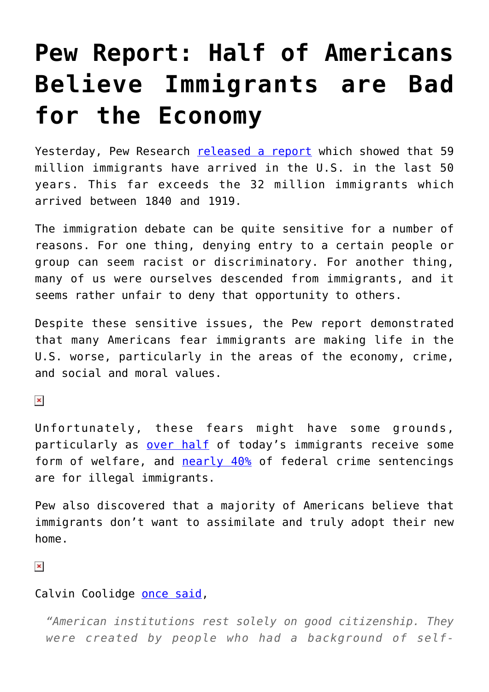## **[Pew Report: Half of Americans](https://intellectualtakeout.org/2015/09/pew-report-half-of-americans-believe-immigrants-are-bad-for-the-economy/) [Believe Immigrants are Bad](https://intellectualtakeout.org/2015/09/pew-report-half-of-americans-believe-immigrants-are-bad-for-the-economy/) [for the Economy](https://intellectualtakeout.org/2015/09/pew-report-half-of-americans-believe-immigrants-are-bad-for-the-economy/)**

Yesterday, Pew Research [released a report](http://www.pewhispanic.org/2015/09/28/modern-immigration-wave-brings-59-million-to-u-s-driving-population-growth-and-change-through-2065/) which showed that 59 million immigrants have arrived in the U.S. in the last 50 years. This far exceeds the 32 million immigrants which arrived between 1840 and 1919.

The immigration debate can be quite sensitive for a number of reasons. For one thing, denying entry to a certain people or group can seem racist or discriminatory. For another thing, many of us were ourselves descended from immigrants, and it seems rather unfair to deny that opportunity to others.

Despite these sensitive issues, the Pew report demonstrated that many Americans fear immigrants are making life in the U.S. worse, particularly in the areas of the economy, crime, and social and moral values.

 $\pmb{\times}$ 

Unfortunately, these fears might have some grounds, particularly as [over half](http://www.usatoday.com/story/news/nation/2015/09/01/immigrant-welfare-use-report/71517072/) of today's immigrants receive some form of welfare, and [nearly 40%](http://www.breitbart.com/big-government/2015/07/07/illegal-immigrants-accounted-for-nearly-37-percent-of-federal-sentences-in-fy-2014/) of federal crime sentencings are for illegal immigrants.

Pew also discovered that a majority of Americans believe that immigrants don't want to assimilate and truly adopt their new home.

 $\pmb{\times}$ 

## Calvin Coolidge [once said,](http://www.presidency.ucsb.edu/ws/?pid=29564)

*"American institutions rest solely on good citizenship. They were created by people who had a background of self-*